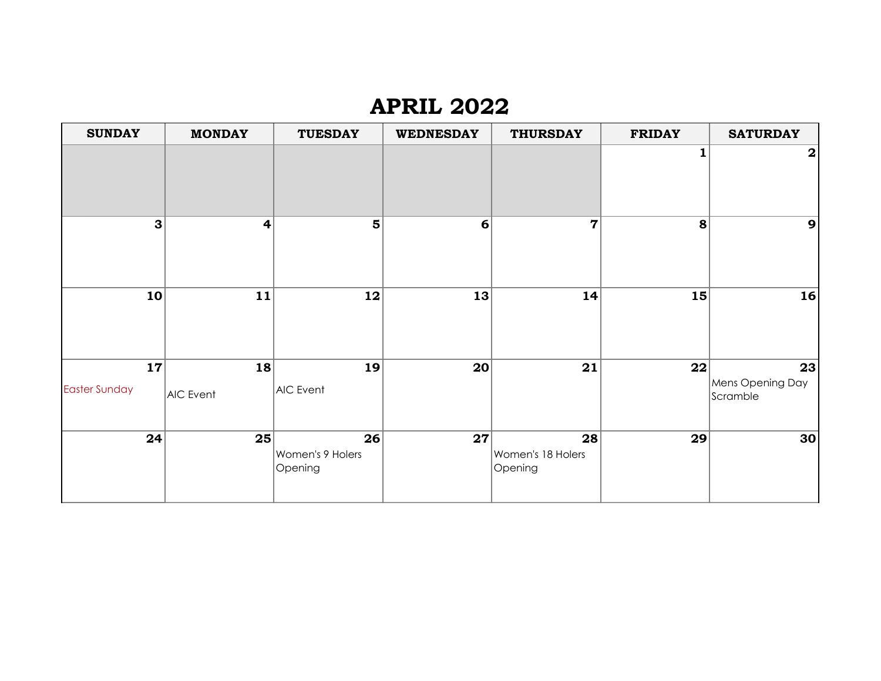# **APRIL 2022**

| <b>SUNDAY</b>              | <b>MONDAY</b>           | <b>TUESDAY</b>                    | <b>WEDNESDAY</b> | <b>THURSDAY</b>                    | <b>FRIDAY</b> | <b>SATURDAY</b>                    |
|----------------------------|-------------------------|-----------------------------------|------------------|------------------------------------|---------------|------------------------------------|
|                            |                         |                                   |                  |                                    |               | $\boldsymbol{2}$                   |
| 3                          | $\overline{\mathbf{r}}$ | $\overline{\mathbf{5}}$           | 6                | $\overline{7}$                     | 8             | $\mathbf{9}$                       |
| 10                         | 11                      | 12                                | 13               | 14                                 | 15            | 16                                 |
| 17<br><b>Easter Sunday</b> | 18<br>AIC Event         | 19<br>AIC Event                   | 20               | 21                                 | 22            | 23<br>Mens Opening Day<br>Scramble |
| 24                         | 25                      | 26<br>Women's 9 Holers<br>Opening | 27               | 28<br>Women's 18 Holers<br>Opening | 29            | 30                                 |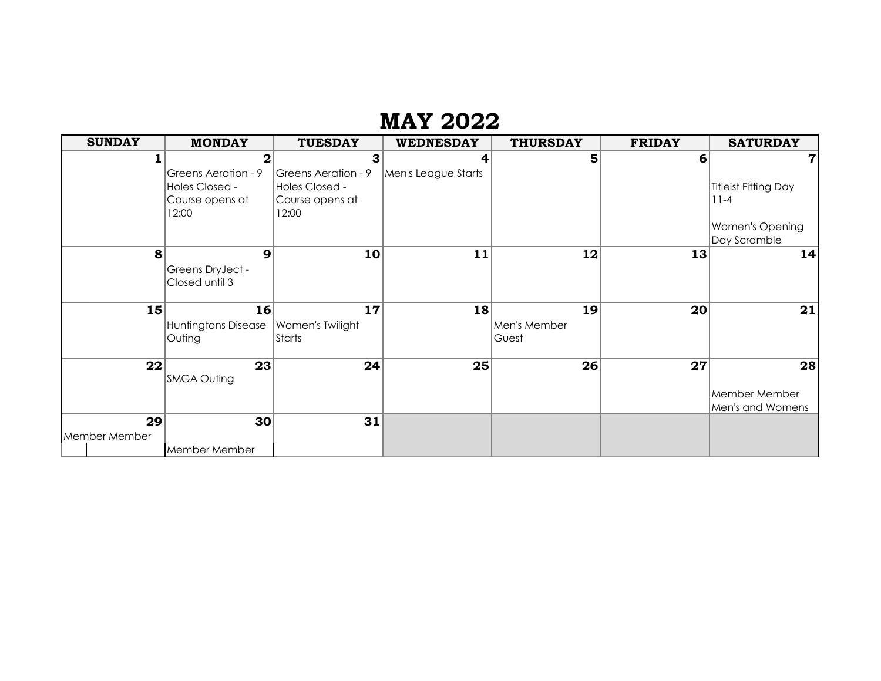# **MAY 2022**

| <b>SUNDAY</b> | <b>MONDAY</b>                          | <b>TUESDAY</b>             | <b>WEDNESDAY</b>    | <b>THURSDAY</b> | <b>FRIDAY</b> | <b>SATURDAY</b>      |
|---------------|----------------------------------------|----------------------------|---------------------|-----------------|---------------|----------------------|
|               | $\mathbf{2}$                           | 3                          | 4                   | 5               | 6             | 7                    |
|               | Greens Aeration - 9                    | <b>Greens Aeration - 9</b> | Men's League Starts |                 |               |                      |
|               | Holes Closed -                         | Holes Closed -             |                     |                 |               | Titleist Fitting Day |
|               | Course opens at                        | Course opens at            |                     |                 |               | $11 - 4$             |
|               | 12:00                                  | 12:00                      |                     |                 |               |                      |
|               |                                        |                            |                     |                 |               | Women's Opening      |
|               |                                        |                            |                     |                 |               | Day Scramble         |
| 8             | 9                                      | 10                         | 11                  | 12              | 13            | 14                   |
|               | Greens DryJect -                       |                            |                     |                 |               |                      |
|               | Closed until 3                         |                            |                     |                 |               |                      |
|               | 16                                     | 17                         |                     | 19              | 20            |                      |
| 15            |                                        |                            | 18                  |                 |               | 21                   |
|               | Huntingtons Disease   Women's Twilight |                            |                     | Men's Member    |               |                      |
|               | Outing                                 | Starts                     |                     | Guest           |               |                      |
| 22            | 23                                     | 24                         | 25                  | 26              | 27            | 28                   |
|               | <b>SMGA Outing</b>                     |                            |                     |                 |               |                      |
|               |                                        |                            |                     |                 |               | Member Member        |
|               |                                        |                            |                     |                 |               | Men's and Womens     |
| 29            | 30                                     | 31                         |                     |                 |               |                      |
| Member Member |                                        |                            |                     |                 |               |                      |
|               | Member Member                          |                            |                     |                 |               |                      |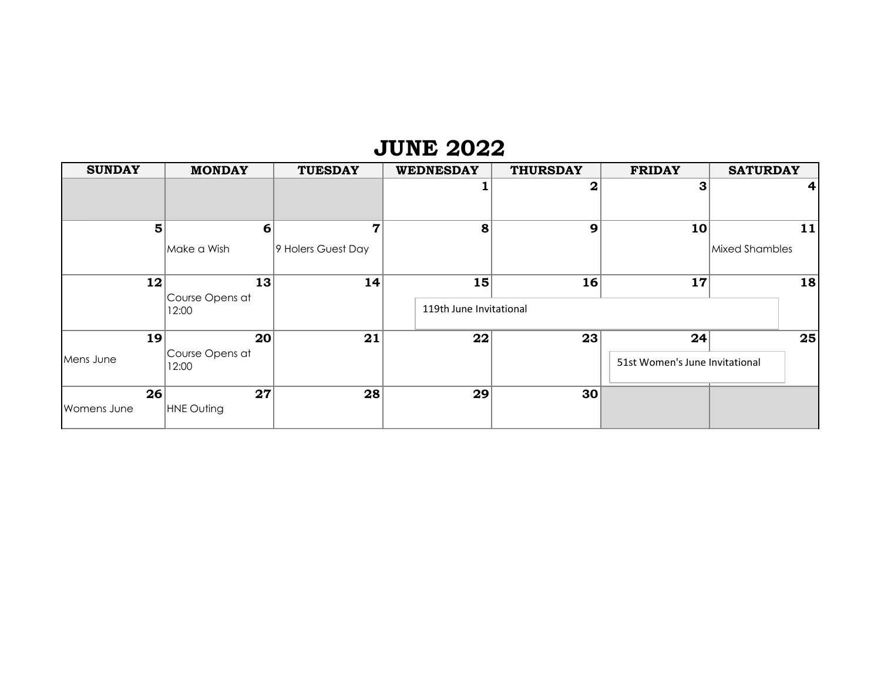#### **JUNE 2022**

| <b>SUNDAY</b> | <b>MONDAY</b>            | <b>TUESDAY</b>     | <b>WEDNESDAY</b>        | <b>THURSDAY</b> | <b>FRIDAY</b>                  | <b>SATURDAY</b> |
|---------------|--------------------------|--------------------|-------------------------|-----------------|--------------------------------|-----------------|
|               |                          |                    |                         | $\mathbf 2$     | З                              | 4 <sup>1</sup>  |
| 5             | 6                        | 7                  | 8                       | 9               | 10                             | 11              |
|               | Make a Wish              | 9 Holers Guest Day |                         |                 |                                | Mixed Shambles  |
| 12            | 13                       | 14                 | 15 <sub>1</sub>         | 16              | 17                             | 18              |
|               | Course Opens at<br>12:00 |                    | 119th June Invitational |                 |                                |                 |
| 19            | 20 <sub>l</sub>          | 21                 | 22                      | 23              | 24                             | 25              |
| Mens June     | Course Opens at<br>12:00 |                    |                         |                 | 51st Women's June Invitational |                 |
| 26            | 27                       | 28                 | 29                      | 30 <sub>1</sub> |                                |                 |
| Womens June   | HNE Outing               |                    |                         |                 |                                |                 |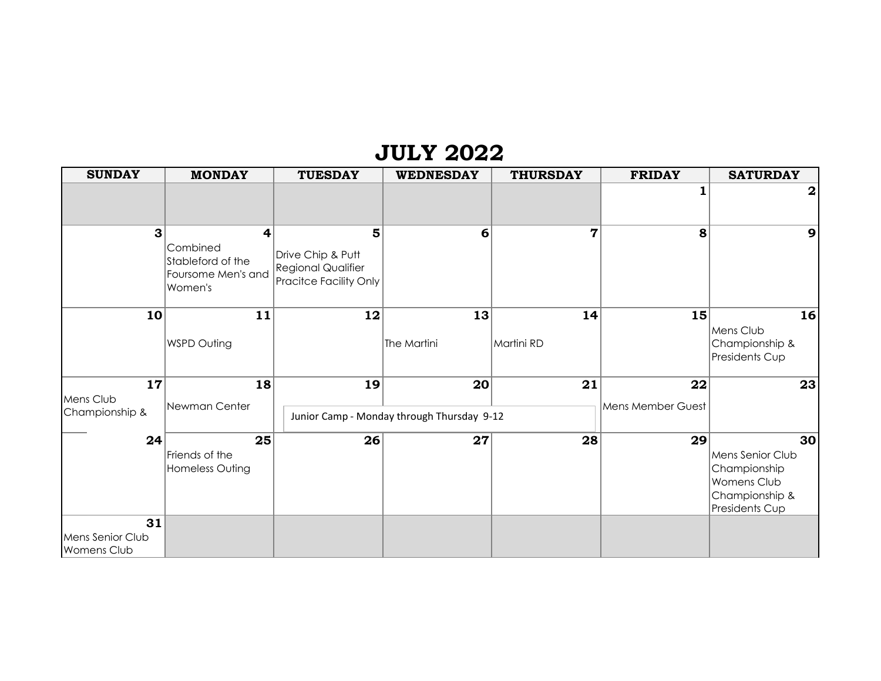## **JULY 2022**

| <b>MONDAY</b>                                                       | <b>TUESDAY</b>                                      | <b>WEDNESDAY</b> | <b>THURSDAY</b>                     | <b>FRIDAY</b>                                                | <b>SATURDAY</b>                                                                           |
|---------------------------------------------------------------------|-----------------------------------------------------|------------------|-------------------------------------|--------------------------------------------------------------|-------------------------------------------------------------------------------------------|
|                                                                     |                                                     |                  |                                     |                                                              | $\boldsymbol{2}$                                                                          |
| 4<br>Combined<br>Stableford of the<br>Foursome Men's and<br>Women's | 5<br>Drive Chip & Putt<br><b>Regional Qualifier</b> | 6                | $\overline{7}$                      | 8                                                            | 9                                                                                         |
| 11<br><b>WSPD Outing</b>                                            | 12                                                  | The Martini      | Martini RD                          |                                                              | 16<br>Mens Club<br>Championship &<br>Presidents Cup                                       |
| Newman Center                                                       | 19                                                  |                  | 21                                  | Mens Member Guest                                            | 23                                                                                        |
| Friends of the<br>Homeless Outing                                   |                                                     |                  |                                     |                                                              | 30<br>Mens Senior Club<br>Championship<br>Womens Club<br>Championship &<br>Presidents Cup |
|                                                                     |                                                     | 18<br>25         | <b>Pracitce Facility Only</b><br>26 | 13<br>20<br>Junior Camp - Monday through Thursday 9-12<br>27 | 14<br>15<br>22<br>28<br>29                                                                |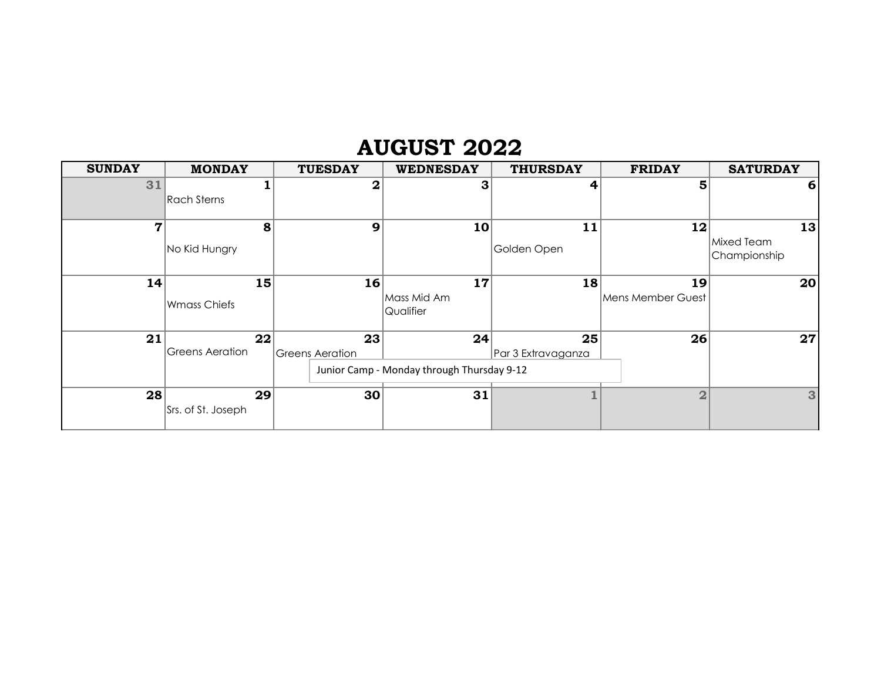## **AUGUST 2022**

| <b>SUNDAY</b> | <b>MONDAY</b>            | <b>TUESDAY</b>               | <b>WEDNESDAY</b>                                 | <b>THURSDAY</b>          | <b>FRIDAY</b>            | <b>SATURDAY</b>                  |
|---------------|--------------------------|------------------------------|--------------------------------------------------|--------------------------|--------------------------|----------------------------------|
| 31            | Rach Sterns              | $\mathbf 2$                  | З                                                | 4                        | 5                        | 6                                |
| 7             | 8<br>No Kid Hungry       | 9                            | 10                                               | 11<br>Golden Open        | 12                       | 13<br>Mixed Team<br>Championship |
| 14            | 15<br>Wmass Chiefs       | 16                           | 17<br>Mass Mid Am<br>Qualifier                   | 18                       | 19<br>lMens Member Guest | 20                               |
| 21            | 22 <br>Greens Aeration   | 23<br><b>Greens Aeration</b> | 24<br>Junior Camp - Monday through Thursday 9-12 | 25<br>Par 3 Extravaganza | 26                       | 27                               |
| 28            | 29<br>Srs. of St. Joseph | 30                           | 31                                               |                          | $\overline{2}$           | 3                                |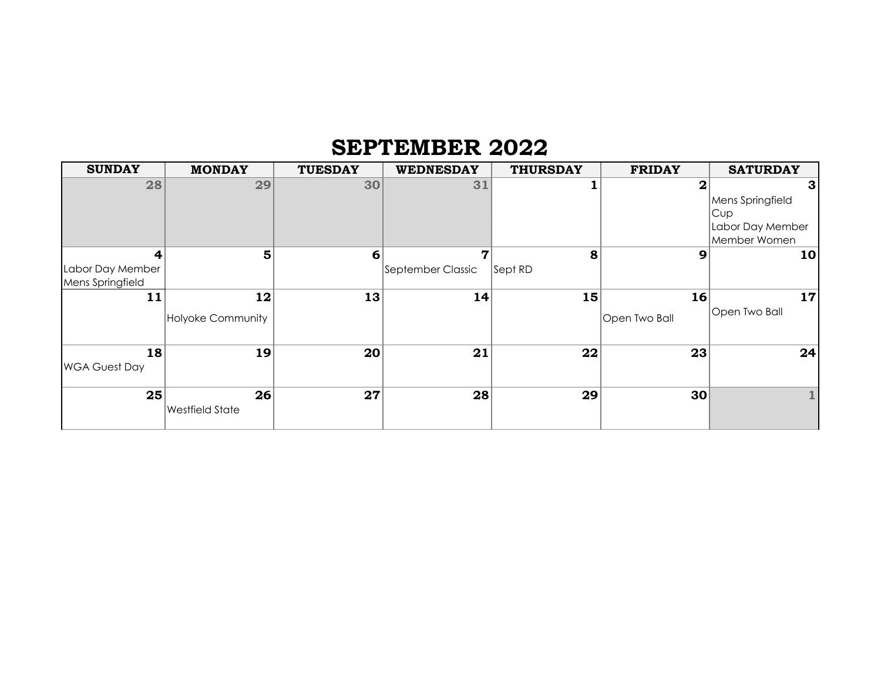## **SEPTEMBER 2022**

| <b>SUNDAY</b>        | <b>MONDAY</b>          | <b>TUESDAY</b>  | <b>WEDNESDAY</b>  | <b>THURSDAY</b> | <b>FRIDAY</b>   | <b>SATURDAY</b>  |
|----------------------|------------------------|-----------------|-------------------|-----------------|-----------------|------------------|
| 28                   | 29                     | 30              | 31                |                 | 2               | 3 <sup>1</sup>   |
|                      |                        |                 |                   |                 |                 | Mens Springfield |
|                      |                        |                 |                   |                 |                 | Cup              |
|                      |                        |                 |                   |                 |                 | Labor Day Member |
|                      |                        |                 |                   |                 |                 | Member Women     |
| 4                    | 5                      | $6 \mid$        | 7                 | 8               | 9               | 10 <sub>l</sub>  |
| Labor Day Member     |                        |                 | September Classic | Sept RD         |                 |                  |
| Mens Springfield     |                        |                 |                   |                 |                 |                  |
| 11                   | 12                     | 13              | 14                | 15              | 16              | 17               |
|                      | Holyoke Community      |                 |                   |                 | Open Two Ball   | Open Two Ball    |
|                      |                        |                 |                   |                 |                 |                  |
| 18                   | 19                     | 20 <sub>l</sub> | 21                | 22              | 23              | 24               |
| <b>WGA Guest Day</b> |                        |                 |                   |                 |                 |                  |
|                      |                        |                 |                   |                 |                 |                  |
| 25                   | 26                     | 27              | 28                | 29              | 30 <sub>1</sub> |                  |
|                      | <b>Westfield State</b> |                 |                   |                 |                 |                  |
|                      |                        |                 |                   |                 |                 |                  |